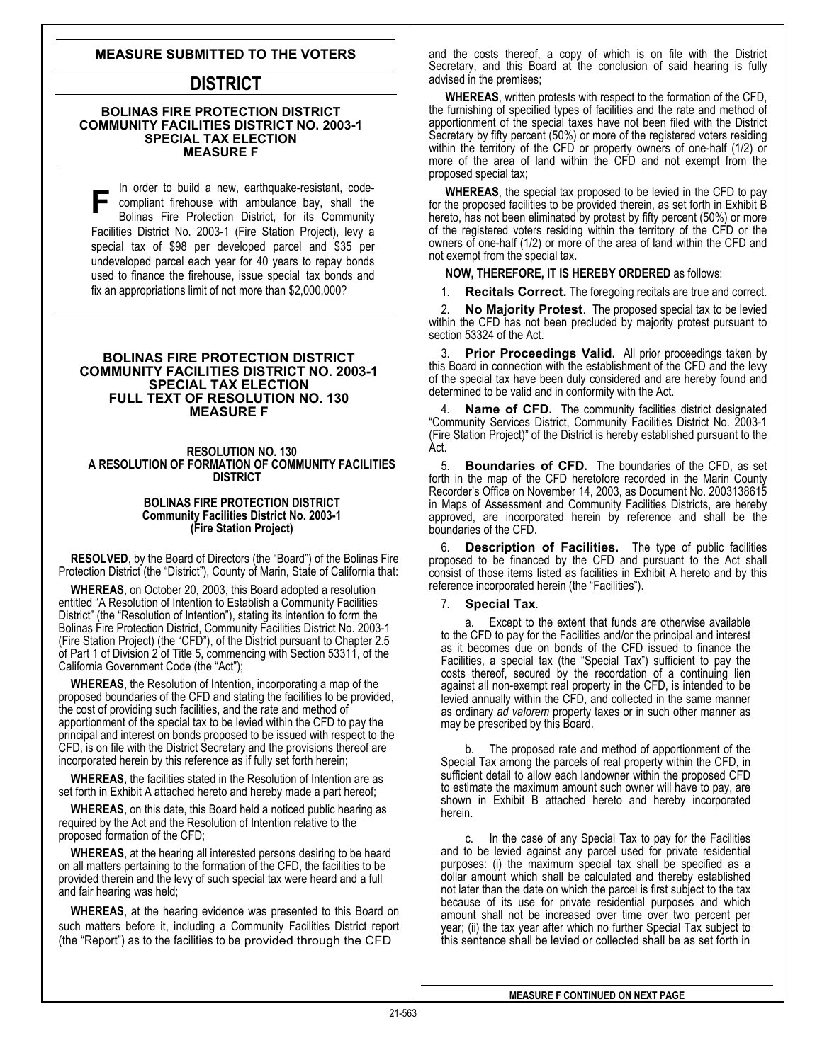# **MEASURE SUBMITTED TO THE VOTERS**

# **DISTRICT**

## **BOLINAS FIRE PROTECTION DISTRICT COMMUNITY FACILITIES DISTRICT NO. 2003-1 SPECIAL TAX ELECTION MEASURE F**

In order t o build a new, earthquake-resistant, code-**F** In order to build a new, earlinguard-resistant, code-<br>
compliant firehouse with ambulance bay, shall the<br>
Bolinas Fire Protection District, for its Community Bolinas Fire Protection District, for its Community Facilities District No. 2003-1 (Fire Station Project), levy a special tax of \$98 per developed parcel and \$35 per undeveloped parcel each year for 40 years to repay bonds used to finance the firehouse, issue special tax bonds and fix an appropriations limit of not more than \$2,000,000?

## **BOLINAS FIRE PROTECTION DISTRICT COMMUNITY FACILITIES DISTRICT NO. 2003-1 SPECIAL TAX ELECTION FULL TEXT OF RESOLUTION NO. 130 MEASURE F**

#### **RESOLUTION NO. 130 A RESOLUTION OF FORMATION OF COMMUNITY FACILITIES DISTRICT**

## **BOLINAS FIRE PROTECTION DISTRICT Community Facilities District No. 2003-1 (Fire Station Project)**

**RESOLVED**, by the Board of Directors (the "Board") of the Bolinas Fire Protection District (the "District"), County of Marin, State of California that:

**WHEREAS**, on October 20, 2003, this Board adopted a resolution entitled "A Resolution of Intention to Establish a Community Facilities District" (the "Resolution of Intention"), stating its intention to form the Bolinas Fire Protection District, Community Facilities District No. 2003-1 (Fire Station Project) (the "CFD"), of the District pursuant to Chapter 2.5 of Part 1 of Division 2 of Title 5, commencing with Section 53311, of the California Government Code (the "Act");

**WHEREAS**, the Resolution of Intention, incorporating a map of the proposed boundaries of the CFD and stating the facilities to be provided, the cost of providing such facilities, and the rate and method of apportionment of the special tax to be levied within the CFD to pay the principal and interest on bonds proposed to be issued with respect to the CFD, is on file with the District Secretary and the provisions thereof are incorporated herein by this reference as if fully set forth herein;

**WHEREAS,** the facilities stated in the Resolution of Intention are as set forth in Exhibit A attached hereto and hereby made a part hereof;

**WHEREAS**, on this date, this Board held a noticed public hearing as required by the Act and the Resolution of Intention relative to the proposed formation of the CFD;

**WHEREAS**, at the hearing all interested persons desiring to be heard on all matters pertaining to the formation of the CFD, the facilities to be provided therein and the levy of such special tax were heard and a full and fair hearing was held;

**WHEREAS**, at the hearing evidence was presented to this Board on such matters before it, including a Community Facilities District report (the "Report") as to the facilities to be provided through the CFD

and the costs thereof, a copy of which is on file with the District Secretary, and this Board at the conclusion of said hearing is fully advised in the premises;

**WHEREAS**, written protests with respect to the formation of the CFD, the furnishing of specified types of facilities and the rate and method of apportionment of the special taxes have not been filed with the District Secretary by fifty percent (50%) or more of the registered voters residing within the territory of the CFD or property owners of one-half (1/2) or more of the area of land within the CFD and not exempt from the proposed special tax;

**WHEREAS**, the special tax proposed to be levied in the CFD to pay for the proposed facilities to be provided therein, as set forth in Exhibit B hereto, has not been eliminated by protest by fifty percent (50%) or more of the registered voters residing within the territory of the CFD or the owners of one-half (1/2) or more of the area of land within the CFD and not exempt from the special tax.

# **NOW, THEREFORE, IT IS HEREBY ORDERED** as follows:

1. **Recitals Correct.** The foregoing recitals are true and correct.

2. **No Majority Protest**. The proposed special tax to be levied within the CFD has not been precluded by majority protest pursuant to section 53324 of the Act.

**Prior Proceedings Valid.** All prior proceedings taken by this Board in connection with the establishment of the CFD and the levy of the special tax have been duly considered and are hereby found and determined to be valid and in conformity with the Act.

4. **Name of CFD.** The community facilities district designated "Community Services District, Community Facilities District No. 2003-1 (Fire Station Project)" of the District is hereby established pursuant to the Act.

5. **Boundaries of CFD.** The boundaries of the CFD, as set forth in the map of the CFD heretofore recorded in the Marin County Recorder's Office on November 14, 2003, as Document No. 2003138615 in Maps of Assessment and Community Facilities Districts, are hereby approved, are incorporated herein by reference and shall be the boundaries of the CFD.

6. **Description of Facilities.** The type of public facilities proposed to be financed by the CFD and pursuant to the Act shall consist of those items listed as facilities in Exhibit A hereto and by this reference incorporated herein (the "Facilities").

# 7. **Special Tax**.

a. Except to the extent that funds are otherwise available to the CFD to pay for the Facilities and/or the principal and interest as it becomes due on bonds of the CFD issued to finance the Facilities, a special tax (the "Special Tax") sufficient to pay the costs thereof, secured by the recordation of a continuing lien against all non-exempt real property in the CFD, is intended to be levied annually within the CFD, and collected in the same manner as ordinary *ad valorem* property taxes or in such other manner as may be prescribed by this Board.

The proposed rate and method of apportionment of the Special Tax among the parcels of real property within the CFD, in sufficient detail to allow each landowner within the proposed CFD to estimate the maximum amount such owner will have to pay, are shown in Exhibit B attached hereto and hereby incorporated herein.

this sentence shall be levied or collected shall be as set forth in c. In the case of any Special Tax to pay for the Facilities and to be levied against any parcel used for private residential purposes: (i) the maximum special tax shall be specified as a dollar amount which shall be calculated and thereby established not later than the date on which the parcel is first subject to the tax because of its use for private residential purposes and which amount shall not be increased over time over two percent per year; (ii) the tax year after which no further Special Tax subject to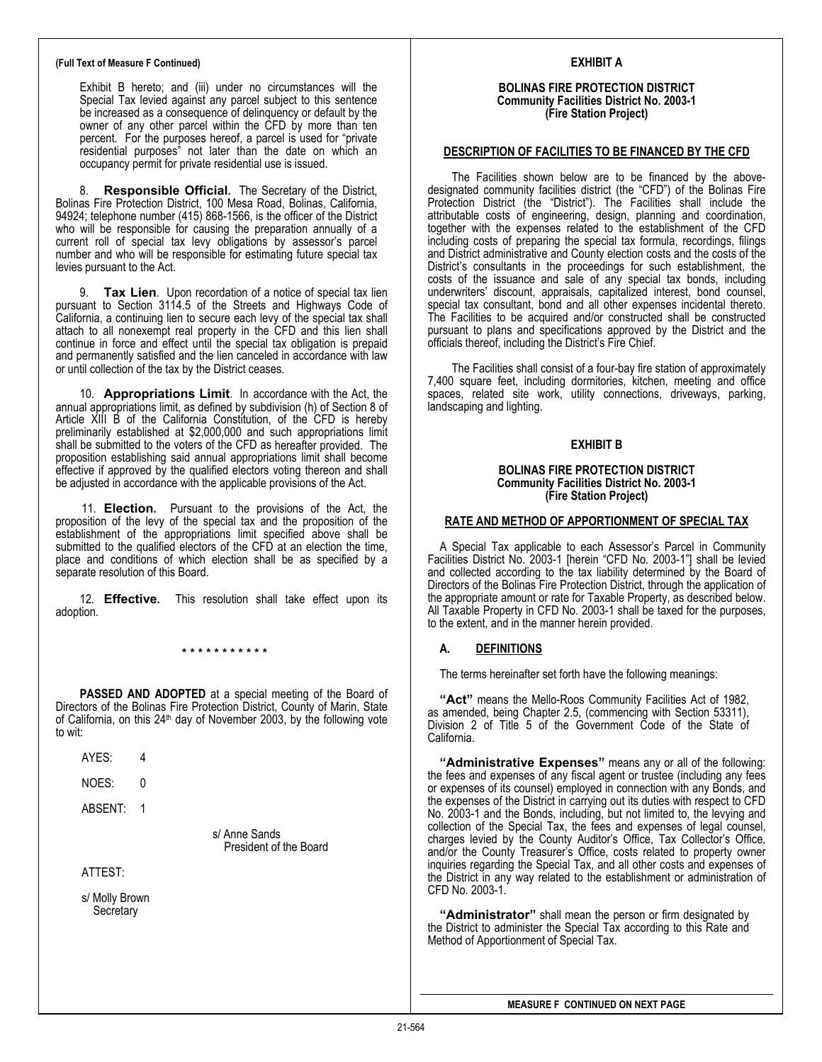#### **(Full Text of Measure F Continued)**

Exhibit B hereto; and (iii) under no circumstances will the Special Tax levied against any parcel subject to this sentence be increased as a consequence of delinquency or default by the owner of any other parcel within the CFD by more than ten percent. For the purposes hereof, a parcel is used for "private residential purposes" not later than the date on which an occupancy permit for private residential use is issued.

8. **Responsible Official.** The Secretary of the District, Bolinas Fire Protection District, 100 Mesa Road, Bolinas, California, 94924; telephone number (415) 868-1566, is the officer of the District who will be responsible for causing the preparation annually of a current roll of special tax levy obligations by assessor's parcel number and who will be responsible for estimating future special tax levies pursuant to the Act.

9. **Tax Lien**. Upon recordation of a notice of special tax lien pursuant to Section 3114.5 of the Streets and Highways Code of California, a continuing lien to secure each levy of the special tax shall attach to all nonexempt real property in the CFD and this lien shall continue in force and effect until the special tax obligation is prepaid and permanently satisfied and the lien canceled in accordance with law or until collection of the tax by the District ceases.

10. **Appropriations Limit**. In accordance with the Act, the annual appropriations limit, as defined by subdivision (h) of Section 8 of Article XIII B of the California Constitution, of the CFD is hereby preliminarily established at \$2,000,000 and such appropriations limit shall be submitted to the voters of the CFD as hereafter provided. The proposition establishing said annual appropriations limit shall become effective if approved by the qualified electors voting thereon and shall be adjusted in accordance with the applicable provisions of the Act.

11. **Election.** Pursuant to the provisions of the Act, the proposition of the levy of the special tax and the proposition of the establishment of the appropriations limit specified above shall be submitted to the qualified electors of the CFD at an election the time, place and conditions of which election shall be as specified by a separate resolution of this Board.

12. **Effective.** This resolution shall take effect upon its adoption.

**\* \* \* \* \* \* \* \* \* \* \*** 

**PASSED AND ADOPTED** at a special meeting of the Board of Directors of the Bolinas Fire Protection District, County of Marin, State of California, on this 24<sup>th</sup> day of November 2003, by the following vote to wit:

AYES: 4

NOES: 0

ABSENT: 1

 s/ Anne Sands President of the Board

ATTEST:

s/ Molly Brown **Secretary** 

# **EXHIBIT A**

#### **BOLINAS FIRE PROTECTION DISTRICT Community Facilities District No. 2003-1 (Fire Station Project)**

## **DESCRIPTION OF FACILITIES TO BE FINANCED BY THE CFD**

The Facilities shown below are to be financed by the abovedesignated community facilities district (the "CFD") of the Bolinas Fire Protection District (the "District"). The Facilities shall include the attributable costs of engineering, design, planning and coordination, together with the expenses related to the establishment of the CFD including costs of preparing the special tax formula, recordings, filings and District administrative and County election costs and the costs of the District's consultants in the proceedings for such establishment, the costs of the issuance and sale of any special tax bonds, including underwriters' discount, appraisals, capitalized interest, bond counsel, special tax consultant, bond and all other expenses incidental thereto. The Facilities to be acquired and/or constructed shall be constructed pursuant to plans and specifications approved by the District and the officials thereof, including the District's Fire Chief.

The Facilities shall consist of a four-bay fire station of approximately 7,400 square feet, including dormitories, kitchen, meeting and office spaces, related site work, utility connections, driveways, parking, landscaping and lighting.

## **EXHIBIT B**

#### **BOLINAS FIRE PROTECTION DISTRICT Community Facilities District No. 2003-1 (Fire Station Project)**

#### **RATE AND METHOD OF APPORTIONMENT OF SPECIAL TAX**

A Special Tax applicable to each Assessor's Parcel in Community Facilities District No. 2003-1 [herein "CFD No. 2003-1"] shall be levied and collected according to the tax liability determined by the Board of Directors of the Bolinas Fire Protection District, through the application of the appropriate amount or rate for Taxable Property, as described below. All Taxable Property in CFD No. 2003-1 shall be taxed for the purposes, to the extent, and in the manner herein provided.

# **A. DEFINITIONS**

The terms hereinafter set forth have the following meanings:

**"Act"** means the Mello-Roos Community Facilities Act of 1982, as amended, being Chapter 2.5, (commencing with Section 53311), Division 2 of Title 5 of the Government Code of the State of California.

**"Administrative Expenses"** means any or all of the following: the fees and expenses of any fiscal agent or trustee (including any fees or expenses of its counsel) employed in connection with any Bonds, and the expenses of the District in carrying out its duties with respect to CFD No. 2003-1 and the Bonds, including, but not limited to, the levying and collection of the Special Tax, the fees and expenses of legal counsel, charges levied by the County Auditor's Office, Tax Collector's Office, and/or the County Treasurer's Office, costs related to property owner inquiries regarding the Special Tax, and all other costs and expenses of the District in any way related to the establishment or administration of CFD No. 2003-1.

**"Administrator"** shall mean the person or firm designated by the District to administer the Special Tax according to this Rate and Method of Apportionment of Special Tax.

**MEASURE F CONTINUED ON NEXT PAGE**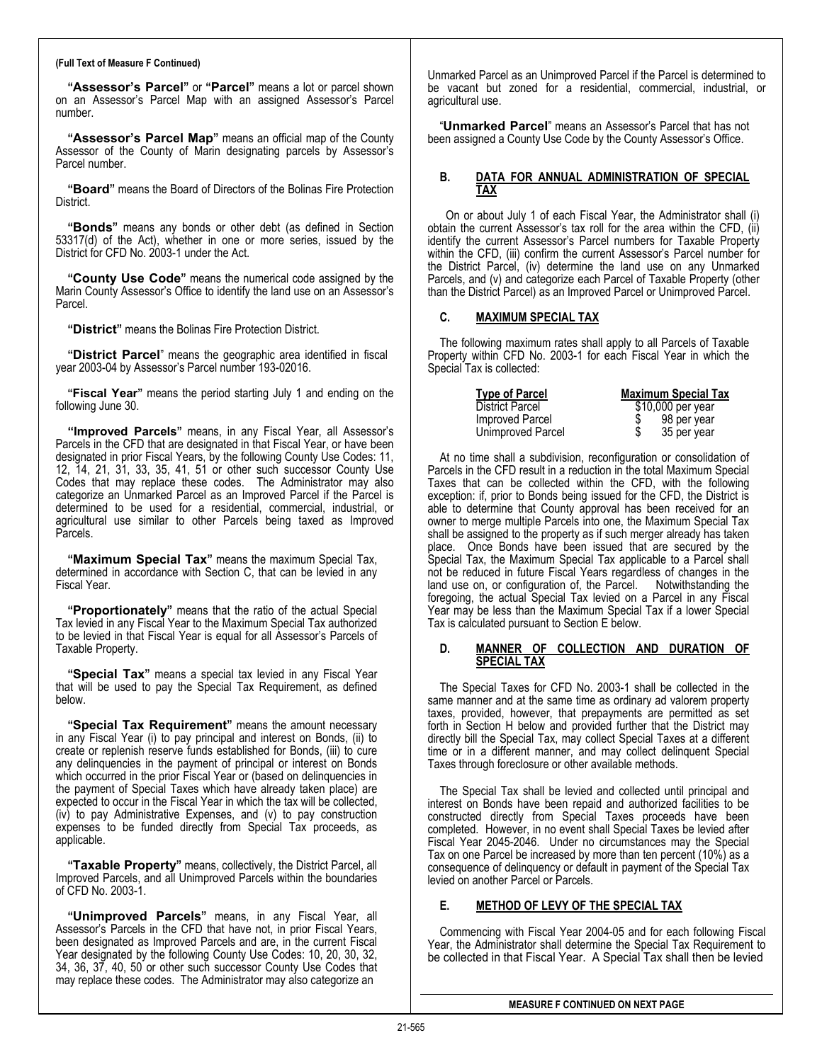## **(Full Text of Measure F Continued)**

**"Assessor's Parcel"** or **"Parcel"** means a lot or parcel shown on an Assessor's Parcel Map with an assigned Assessor's Parcel number.

**"Assessor's Parcel Map"** means an official map of the County Assessor of the County of Marin designating parcels by Assessor's Parcel number.

**"Board"** means the Board of Directors of the Bolinas Fire Protection District.

**"Bonds"** means any bonds or other debt (as defined in Section  $53317(d)$  of the Act), whether in one or more series, issued by the District for CFD No. 2003-1 under the Act.

**"County Use Code"** means the numerical code assigned by the Marin County Assessor's Office to identify the land use on an Assessor's Parcel.

**"District"** means the Bolinas Fire Protection District.

**"District Parcel**" means the geographic area identified in fiscal year 2003-04 by Assessor's Parcel number 193-02016.

**"Fiscal Year"** means the period starting July 1 and ending on the following June 30.

**"Improved Parcels"** means, in any Fiscal Year, all Assessor's Parcels in the CFD that are designated in that Fiscal Year, or have been designated in prior Fiscal Years, by the following County Use Codes: 11, 12, 14, 21, 31, 33, 35, 41, 51 or other such successor County Use Codes that may replace these codes. The Administrator may also categorize an Unmarked Parcel as an Improved Parcel if the Parcel is determined to be used for a residential, commercial, industrial, or agricultural use similar to other Parcels bei ng taxed as Improved P arcels.

**"Maximum Special Tax"** means the maximum Special Tax, determined in accordance with Section C, that can be levied in any Fiscal Year.

**"Proportionately"** means that the ratio of the actual Special Tax levied in any Fiscal Year to the Maximum Special Tax authorized to be levied in that Fiscal Year is equal for all Assessor's Parcels of Taxable Property.

**"Special Tax"** means a special tax levied in any Fiscal Year that will be used to pay the Special Tax Requirement, as defined below.

**"Special Tax Requirement"** means the amount necessary in any Fiscal Year (i) to pay principal and interest on Bonds, (ii) to create or replenish reserve funds established for Bonds, (iii) to cure any delinquencies in the payment of principal or interest on Bonds which occurred in the prior Fiscal Year or (based on delinquencies in the payment of Special Taxes which have already taken place) are expected to occur in the Fiscal Year in which the tax will be collected, (iv) to pay Administrative Expenses, and (v) to pay construction expenses t o be funded directly from Special Tax proceeds, as applicable.

**"Taxable Property"** means, collectively, the District Parcel, all Improved Parcels, an d all Unimproved Parcels within the boundaries of CFD No. 2003-1.

**"Unimproved Parcels"** means, in any Fiscal Year, all Assessor's Parcels in the CFD that have not, in prior Fiscal Years, been designated as Improved Parcels and are, in the current Fiscal Year designated by the following County Use Codes: 10, 20, 30, 32, 34, 36, 37, 40, 50 or other such successor County Use Codes that may replace these codes. The Administrator may also categorize an

Unmarked Parcel as an Unimproved Parcel if the Parcel is determined to be vacant but zoned for a residential, commercial, industrial, or agricultural use.

"**Unmarked Parcel**" means an Assessor's Parcel that has not been assigned a County Use Code by the County Assessor's Office.

# **B. DATA FOR ANNUAL ADMINISTRATION OF SPECIAL TAX**

On or about July 1 of each Fiscal Year, the Administrator shall (i) obtain the current Assessor's tax roll for the area within the CFD, (ii) identify the current Assessor's Parcel numbers for Taxable Property within the CFD, (iii) confirm the current Assessor's Parcel number for the District Parcel, (iv) determine the land use on any Unmarked Parcels, and (v) and categorize each Parcel of Taxable Property (other than the District Parcel) as an Improved Parcel or Unimproved Parcel.

# **C. MAXIMUM SPECIAL TAX**

The following maximum rates shall apply to all Parcels of Taxable Property within CFD No. 2003-1 for each Fiscal Year in which the Special Tax is collected:

| Type of Parcel    | <b>Maximum Special Tax</b> |
|-------------------|----------------------------|
| District Parcel   | $$10,000$ per year         |
| Improved Parcel   | 98 per year                |
| Unimproved Parcel | 35 per year                |

At no time shall a subdivision, reconfiguration or consolidation of Parcels in the CFD result in a reduction in the total Maximum Special Taxes that can be collected within the CFD, with the following exception: if, prior to Bonds being issued for the CFD, the District is able to determine that County approval has been received for an owner to merge multiple Parcels into one, the Maximum Special Tax shall be assigned to the property as if such merger already has taken place. Once Bonds have been issued that are secured by the Special Tax, the Maximum Special Tax applicable to a Parcel shall not be reduced in future Fiscal Years regardless of changes in the land use on. or configuration of the Parcel. Notwithstanding the land use on, or configuration of, the Parcel. foregoing, the actual Special Tax levied on a Parcel in any Fiscal Year may be less than the Maximum Special Tax if a lower Special Tax is calculated pursuant to Section E below.

# **D. MANNER OF COLLECTION AND DURATION OF SPECIAL TAX**

The Special Taxes for CFD No. 2003-1 shall be collected in the same manner and at the same time as ordinary ad valorem property taxes, provided, however, that prepayments are permitted as set forth in Section H below and provided further that the District may directly bill the Special Tax, may collect Special Taxes at a different time or in a different manner, and may collect delinquent Special Taxes through foreclosure or other available methods.

The Special Tax shall be levied and collected until principal and interest on Bonds have been repaid and authorized facilities to be constructed directly from Special Taxes proceeds have been completed. However, in no event shall Special Taxes be levied after Fiscal Year 2045-2046. Under no circumstances may the Special Tax on one Parcel be increased by more than ten percent (10%) as a consequence of delinquency or default in payment of the Special Tax levied on another Parcel or Parcels.

# **E. METHOD OF LEVY OF THE SPECIAL TAX**

Commencing with Fiscal Year 2004-05 and for each following Fiscal Year, the Administrator shall determine the Special Tax Requirement to be collected in that Fiscal Year. A Special Tax shall then be levied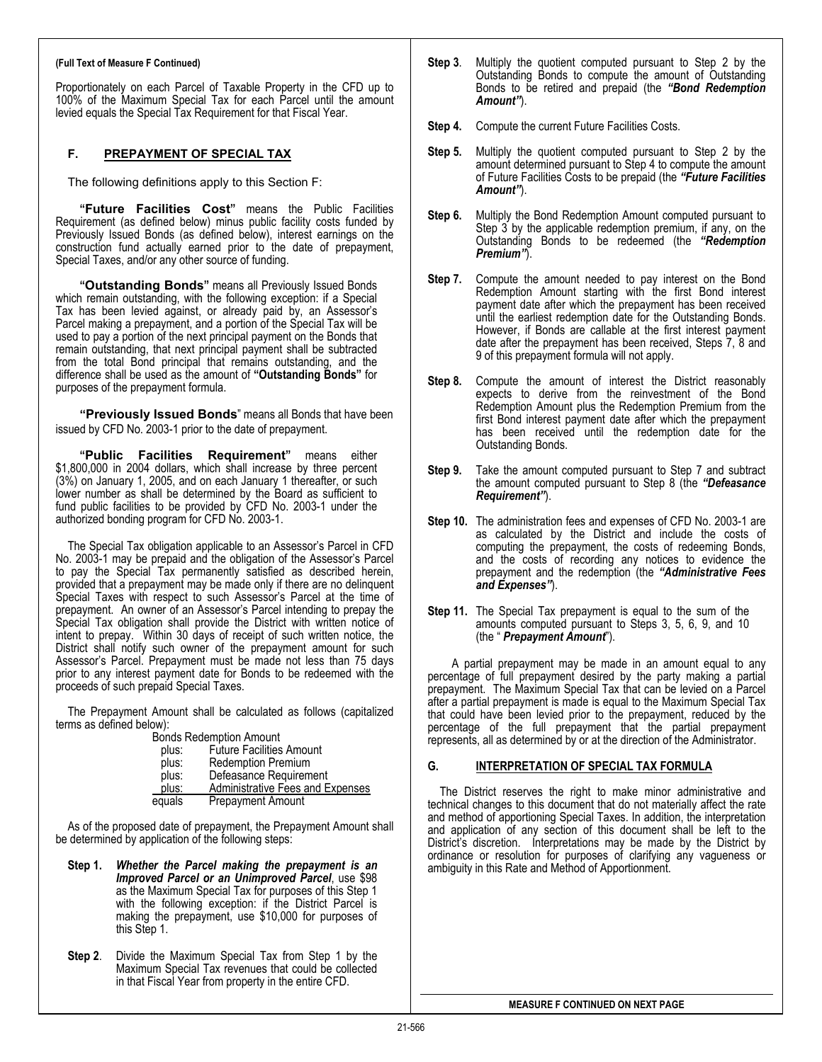# **(Full Text of Measure F Continued)**

Proportionately on each Parcel of Taxable Property in the CFD up to 100% of the Maximum Special Tax for each Parcel until the amount levied equals the Special Tax Requirement for that Fiscal Year.

# **F. PREPAYMENT OF SPECIAL TAX**

The following definitions apply to this Section F:

**"Future Facilities Cost"** means the Public Facilities Requirement (as defined below) minus public facility costs funded by Previously Issued Bonds (as defined below), interest earnings on the construction fund actually earned prior to the date of prepayment, Special Taxes, and/or any other source of funding.

**"Outstanding Bonds"** means all Previously Issued Bonds which remain outstanding, with the following exception: if a Special Tax has been levied against, or already paid by, an Assessor's Parcel making a prepayment, and a portion of the Special Tax will be used to pay a portion of the next principal payment on the Bonds that remain outstanding, that next principal payment shall be subtracted from the total Bond principal that remains outstanding, and the difference shall be used as the amount of **"Outstanding Bonds"** for purposes of the prepayment formula.

**"Previously Issued Bonds**" means all Bonds that have been issued by CFD No. 2003-1 prior to the date of prepayment.

**"Public Facilities Requirement"** means either \$1,800,000 in 2004 dollars, which shall increase by three percent (3%) on January 1, 2005, and on each January 1 thereafter, or such lower number as shall be determined by the Board as sufficient to fund public facilities to be provided by CFD No. 2003-1 under the authorized bonding program for CFD No. 2003-1.

The Special Tax obligation applicable to an Assessor's Parcel in CFD No. 2003-1 may be prepaid and the obligation of the Assessor's Parcel to pay the Special Tax permanently satisfied as described herein, provided that a prepayment may be made only if there are no delinquent Special Taxes with respect to such Assessor's Parcel at the time of prepayment. An owner of an Assessor's Parcel intending to prepay the Special Tax obligation shall provide the District with written notice of intent to prepay. Within 30 days of receipt of such written notice, the District shall notify such owner of the prepayment amount for such Assessor's Parcel. Prepayment must be made not less than 75 days prior to any interest payment date for Bonds to be redeemed with the proceeds of such prepaid Special Taxes.

The Prepayment Amount shall be calculated as follows (capitalized terms as defined below):

| <b>Bonds Redemption Amount</b> |                                         |
|--------------------------------|-----------------------------------------|
| plus:                          | <b>Future Facilities Amount</b>         |
| plus:                          | <b>Redemption Premium</b>               |
| plus:                          | Defeasance Requirement                  |
| plus:                          | <b>Administrative Fees and Expenses</b> |
| equals                         | <b>Prepayment Amount</b>                |
|                                |                                         |

As of the proposed date of prepayment, the Prepayment Amount shall be determined by application of the following steps:

- **Step 1.** *Whether the Parcel making the prepayment is an Improved Parcel or an Unimproved Parcel*, use \$98 as the Maximum Special Tax for purposes of this Step 1 with the following exception: if the District Parcel is making the prepayment, use \$10,000 for purposes of this Step 1.
- **Step 2**. Divide the Maximum Special Tax from Step 1 by the Maximum Special Tax revenues that could be collected in that Fiscal Year from property in the entire CFD.
- **Step 3**. Multiply the quotient computed pursuant to Step 2 by the Outstanding Bonds to compute the amount of Outstanding Bonds to be retired and prepaid (the *"Bond Redemption Amount"*).
- **Step 4.** Compute the current Future Facilities Costs.
- **Step 5.** Multiply the quotient computed pursuant to Step 2 by the amount determined pursuant to Step 4 to compute the amount of Future Facilities Costs to be prepaid (the *"Future Facilities Amount"*).
- **Step 6.** Multiply the Bond Redemption Amount computed pursuant to Step 3 by the applicable redemption premium, if any, on the Outstanding Bonds to be redeemed (the *"Redemption Premium"*).
- **Step 7.** Compute the amount needed to pay interest on the Bond Redemption Amount starting with the first Bond interest payment date after which the prepayment has been received until the earliest redemption date for the Outstanding Bonds. However, if Bonds are callable at the first interest payment date after the prepayment has been received, Steps 7, 8 and 9 of this prepayment formula will not apply.
- **Step 8.** Compute the amount of interest the District reasonably expects to derive from the reinvestment of the Bond Redemption Amount plus the Redemption Premium from the first Bond interest payment date after which the prepayment has been received until the redemption date for the Outstanding Bonds.
- **Step 9.** Take the amount computed pursuant to Step 7 and subtract the amount computed pursuant to Step 8 (the *"Defeasance Requirement"*).
- **Step 10.** The administration fees and expenses of CFD No. 2003-1 are as calculated by the District and include the costs of computing the prepayment, the costs of redeeming Bonds, and the costs of recording any notices to evidence the prepayment and the redemption (the *"Administrative Fees and Expenses"*).
- **Step 11.** The Special Tax prepayment is equal to the sum of the amounts computed pursuant to Steps 3, 5, 6, 9, and 10 (the " *Prepayment Amount*").

A partial prepayment may be made in an amount equal to any percentage of full prepayment desired by the party making a partial prepayment. The Maximum Special Tax that can be levied on a Parcel after a partial prepayment is made is equal to the Maximum Special Tax that could have been levied prior to the prepayment, reduced by the percentage of the full prepayment that the partial prepayment represents, all as determined by or at the direction of the Administrator.

# **G. INTERPRETATION OF SPECIAL TAX FORMULA**

The District reserves the right to make minor administrative and technical changes to this document that do not materially affect the rate and method of apportioning Special Taxes. In addition, the interpretation and application of any section of this document shall be left to the District's discretion. Interpretations may be made by the District by ordinance or resolution for purposes of clarifying any vagueness or ambiguity in this Rate and Method of Apportionment.